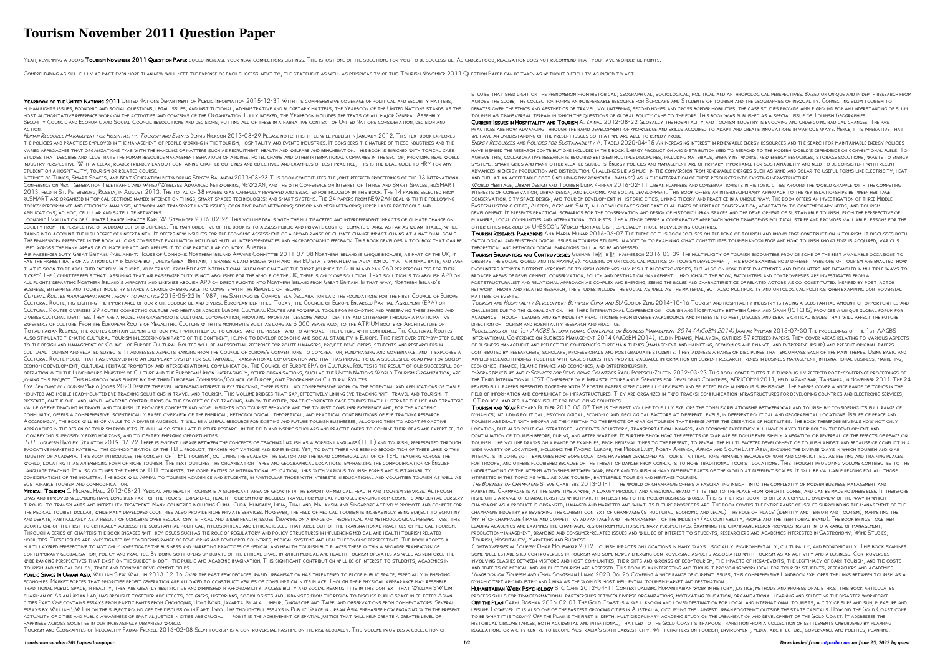## **Tourism November 2011 Question Paper**

YEAH, REVIEWING A BOOKS TOURISM NOVEMBER 2011 QUESTION PAPER COULD INCREASE YOUR NEAR CONNECTIONS LISTINGS. THIS IS JUST ONE OF THE SOLUTIONS FOR YOU TO BE SUCCESSFUL. AS UNDERSTOOD, REALIZATION DOES NOT RECOMMEND THAT YOU

COMPREHENDING AS SKILLFULLY AS PACT EVEN MORE THAN NEW WILL MEET THE EXPENSE OF EACH SUCCESS. NEXT TO, THE STATEMENT AS WELL AS PERSPICACITY OF THIS TOURISM NOVEMBER 2011 QUESTION PAPER CAN BE TAKEN AS WITHOUT DIFFICULTY A

YEARBOOK OF THE UNITED NATIONS 2011 UNITED NATIONS DEPARTMENT OF PUBLIC INFORMATION 2015-12-31 WITH ITS COMPREHENSIVE COVERAGE OF POLITICAL AND SECURITY MATTERS, human rights issues, economic and social questions, legal issues, and institutional, administrative and budgetary matters, the Yearbook of the United Nations stands as the most authoritative reference work on the activities and concerns of the Organization. Fully indexed, the Yearbook includes the texts of all major General Assembly, Security Council and Economic and Social Council resolutions and decisions, putting all of these in a narrative context of United Nations consideration, decision and action.

Human Resource Management for Hospitality, Tourism and Events Dennis Nickson 2013-08-29 Please note: this title will publish in January 2012. This textbook explores the policies and practices employed in the management of people working in the tourism, hospitality and events industries. It considers the nature of these industries and the varied approaches that organizations take with the handling of matters such as recruitment, health and welfare and remuneration. This book is enriched with topical case studies that describe and illustrate the human resource management behaviour of airlines, hotel chains and other international companies in the sector, providing real world industry perspective. With a clear, reader friendly layout containing chapter outlines and objectives and examples of best practice, this is the ideal guide to HRM for any student on a hospitality, tourism or related course.

Internet of Things, Smart Spaces, and Next Generation Networking Sergey Balandin 2013-08-23 This book constitutes the joint refereed proceedings of the 13 International Conference on Next Generation Teletraffic and Wired/Wireless Advanced Networking, NEW2AN, and the 6th Conference on Internet of Things and Smart Spaces, ruSMART 2013, held in St. Petersburg, Russia, in August 2013. The total of 38 papers was carefully reviewed and selected for inclusion in this book. The 14 papers selected from ruSMART are organized in topical sections named: internet on things, smart spaces technologies; and smart systems. The 24 papers from NEW2AN deal with the following topics: performance and efficiency analysis, network and transport layer issues; cognitive radio networks; sensor and mesh networks; upper layer protocols and applications; ad-hoc, cellular and satellite networks.

Economic Evaluation of Climate Change Impacts Karl W. Steininger 2015-02-26 This volume deals with the multifaceted and interdependent impacts of climate change on society from the perspective of a broad set of disciplines. The main objective of the book is to assess public and private cost of climate change as far as quantifiable, while taking into account the high degree of uncertainty. It offers new insights for the economic assessment of a broad range of climate change impact chains at a national scale. The framework presented in the book allows consistent evaluation including mutual interdependencies and macroeconomic feedback. This book develops a toolbox that can be used across the many areas of climate impact and applies it to one particular country: Austria.

EYE TRACKING IN TOURISM MARIO JOOSS 2020 DESPITE THE EVER-INCREASING INTEREST IN EYE TRACKING, THERE IS STILL NO COMPREHENSIVE WORK ON THE POTENTIAL AND APPLICATIONS OF TABLEmounted and mobile head-mounted eye tracking solutions in travel and tourism. This volume bridges that gap, effectively linking eye tracking with travel and tourism. It presents, on the one hand, novel academic contributions on the concept of eye tracking, and on the other, practice-oriented case studies that illustrate the use and strategic value of eye tracking in travel and tourism. It provides concrete and novel insights into tourist behavior and the tourist consumer experience and, for the academic community, offers a comprehensive, scientifically based overview of the empirical, methodological, theoretical, and practical contributions of eye tracking research. Accordingly, the book will be of value to a diverse audience. It will be a useful resource for existing and future tourism businesses, allowing them to adopt proactive approaches in the design of tourism products. It will also stimulate further research in the field and inspire scholars and practitioners to combine their ideas and expertise, to look beyond supposedly fixed horizons, and to identify emerging opportunities.

Air passenger duty Great Britain: Parliament: House of Commons: Northern Ireland Affairs Committee 2011-07-08 Northern Ireland is unique because, as part of the UK, it has the highest rate of aviation duty in Europe but, unlike Great Britain, it shares a land border with another EU state which levies aviation duty at a minimal rate, and even that is soon to be abolished entirely. In short, why travel from Belfast International when one can take the short journey to Dublin and pay £60 per person less for their ticket? The Committee feels that, assuming that air passenger duty is not abolished for the whole of the UK, there is only one solution. That solution is to abolish APD on all flights departing Northern Ireland's airports and likewise abolish APD on direct flights into Northern Ireland from Great Britain. In that way, Northern Ireland's business, enterprise and tourist industry stands a chance of being able to compete with the Republic of Ireland

TEFL TOURISM HAYLEY STAINTON 2019-07-22 THERE IS EVIDENT LINEAGE BETWEEN THE CONCEPTS OF TEACHING ENGLISH AS A FOREIGN LANGUAGE (TEFL) AND TOURISM, REPRESENTED THROUGH evocative marketing material, the commoditisation of the TEFL product, teacher motivations and experiences. Yet, to date there has been no recognition of these links within industry or academia. This book introduces the concept of 'TEFL tourism', outlining the scale of the sector and the rapid commercialization of TEFL teaching across the world, locating it as an emerging form of niche tourism. The text outlines the organisation types and geographical locations, emphasizing the commodification of English language teaching. It also outlines the types of TEFL tourists, the complexities of international education, links with various tourism forms and sustainability considerations of the industry. The book will appeal to tourism academics and students, in particular those with interests in educational and volunteer tourism as well as sustainable tourism and commodification.

MEDICAL TOURISM C. MICHAEL HALL 2012-08-21 MEDICAL AND HEALTH TOURISM IS A SIGNIFICANT AREA OF GROWTH IN THE EXPORT OF MEDICAL, HEALTH AND TOURISM SERVICES. ALTHOUGH spas and improved well-being have long been part of the tourist experience, health tourism now includes travel for medical purposes ranging from cosmetic and dental surgery through to transplants and infertility treatment. Many countries including China, Cuba, Hungary, India, Thailand, Malaysia and Singapore actively promote and compete for the medical tourist dollar, while many developed countries also provide niche private services. However, the field of medical tourism is increasingly being subject to scrutiny and debate, particularly as a result of concerns over regulatory, ethical and wider health issues. Drawing on a range of theoretical and methodological perspectives, this book is one of the first to critically address the substantial political, philosophical and ethical issues that arise out of the transnational practices of medical tourism. Through a series of chapters the book engages with key issues such as the role of regulatory and policy structures in influencing medical and health tourism related mobilities. These issues are investigated by considering range of developing and developed countries, medical systems and health economic perspectives. The book adopts a multi-layered perspective to not only investigate the business and marketing practices of medical and health tourism but places these within a broader framework of contemporary globalisation, policy and practice. By doing so it opens up debate of the ethical space in which medical and health tourism operates as well as reinforce the wide ranging perspectives that exist on the subject in both the public and academic imagination. This significant contribution will be of interest to students, academics in tourism and medical policy, trade and economic development fields.

Cutural Routes management: from theory to practice 2015-05-22 In 1987, the Santiago de Compostela Declaration laid the foundations for the first Council of Europe Cultural Route, highlighting the importance of our rich, colourful and diverse European identities. Today, the Council of Europe Enlarged Partial Agreement (EPA) on Cultural Routes oversees 29 routes connecting culture and heritage across Europe. Cultural Routes are powerful tools for promoting and preserving these shared and diverse cultural identities. They are a model for grass-roots cultural co-operation, providing important lessons about identity and citizenship through a participative experience of culture. From the European Route of Megalithic Culture with its monuments built as long as 6 000 years ago, to the ATRIUM route of Architecture of Totalitarian Regimes, the routes contain elements of our past which help us to understand the present and to approach the future with confidence. The Cultural Routes also stimulate thematic cultural tourism in lesserknown parts of the continent, helping to develop economic and social stability in Europe. This first ever step-by-step guide to the design and management of Council of Europe Cultural Routes will be an essential reference for route managers, project developers, students and researchers in cultural tourism and related subjects. It addresses aspects ranging from the Council of Europe's conventions to co-creation, fund-raising and governance, and it explores a Cultural Route model that has evolved into an exemplary system for sustainable, transnational co-operation and that has proved to be a successful road map for socioeconomic development, cultural heritage promotion and intergenerational communication. The Council of Europe EPA on Cultural Routes is the result of our successful cooperation with the Luxembourg Ministry of Culture and the European Union. Increasingly, other organisations, such as the United Nations World Tourism Organization, are joining this project. This handbook was funded by the third European Commission/Council of Europe Joint Programme on Cultural Routes.

PUBLIC SPACE IN URBAN ASIA WILLIAM SIEW WAI LIM 2013-12-16 OVER THE PAST FEW DECADES, RAPID URBANISATION HAS THREATENED TO ERODE PUBLIC SPACE, ESPECIALLY IN EMERGING economies. Market forces that prioritise profit generation are allowed to construct venues of consumption in its place. Though their physical appearance may resemble traditional public space, in reality, they are greatly restrictive and diminished in affordability, accessibility and social meaning. It is in this context that William SW Lim, chairman of Asian Urban Lab, has brought together architects, designers, historians, sociologists and urbanists from the region to discuss public space in selected Asian cities.Part One contains essays from participants from Chongqing, Hong Kong, Jakarta, Kuala Lumpur, Singapore and Taipei and observations from commentators. Several essays by William SW Lim on the subject round off the discussion in Part Two. The thoughtful essays in Public Space in Urban Asia emphasise how engaging with the present actuality of cities and public awareness of spatial justice in cities are crucial — for it is the achievement of spatial justice that will help create a greater level of happiness across societies in our increasingly urbanised world.

CURRENT ISSUES IN HOSPITALITY AND TOURISM A. ZAINAL 2012-08-22 GLOBALLY THE HOSPITALITY AND TOURISM INDUSTRY IS EVOLVING AND UNDERGOING RADICAL CHANGES. THE PAST practices are now advancing through the rapid development of knowledge and skills acquired to adapt and create innovations in various ways. Hence, it is imperative that we have an understanding of the present issues so that we are able to remedy probl

TOURISM ENCOUNTERS AND CONTROVERSIES GUNNAR THR RIFI HANNESSON 2016-03-09 THE MULTIPLICITY OF TOURISM ENCOUNTERS PROVIDE SOME OF THE BEST AVAILABLE OCCASIONS TO observe the social world and its making(s). Focusing on ontological politics of tourism development, this book examines how different versions of tourism are enacted, how encounters between different versions of tourism orderings may result in controversies, but also on how these enactments and encounters are entangled in multiple ways to broader areas of development, conservation, policy and destination management. Throughout the book, encounters and controversies are investigated from a poststructuralist and relational approach as complex and emerging, seeing the roles and characteristics of related actors as co-constituted. Inspired by post-actornetwork theory and related research, the studies include the social as well as the material, but also multiplicity and ontological politics when examining controversial

PROCEEDINGS OF THE 1ST AAGBS INTERNATIONAL CONFERENCE ON BUSINESS MANAGEMENT 2014 (AICOBM 2014) JAAFAR PYEMAN 2015-07-30 THE PROCEEDINGS OF THE 1ST AAGBS International Conference on Business Management 2014 (AiCoBM 2014), held in Penang, Malaysia, gathers 57 refereed papers. They cover areas relating to various aspects of business management and reflect the conference's three main themes (management and marketing, economics and finance, and entrepreneurship) and present original papers contributed by researchers, scholars, professionals and postgraduate students. They address a range of disciplines that encompass each of the main themes. Using basic and applied research findings together with case studies they provide valuable information on current research trends in business management, international business, marketing, economics, finance, Islamic finance and economics, and entrepreneurship.

E-INFRASTRUCTURE AND E-SERVICES FOR DEVELOPING COUNTRIES RADU POPESCU-ZELETIN 2012-03-23 THIS BOOK CONSTITUTES THE THOROUGHLY REFEREED POST-CONFERENCE PROCEEDINGS OF the Third International ICST Conference on e-Infrastructure and e-Services for Developing Countries, AFRICOMM 2011, held in Zanzibar, Tansania, in November 2011. The 24 revised full papers presented together with 2 poster papers were carefully reviewed and selected from numerous submissions. The papers cover a wide range of topics in the field of information and communication infrastructures. They are organized in two tracks: communication infrastructures for developing countries and electronic services, ICT policy, and regulatory issues for developing countries.

The Business of Champagne Steve Charters 2013-01-11 The world of champagne offers a fascinating insight into the complexity of modern business management and marketing. Champagne is at the same time a wine, a luxury product and a regional brand – it is tied to the place from which it comes, and can be made nowhere else. It therefore highlights a range of characteristics which make it interesting to the modern business world. This is the first book to offer a complete overview of the way in which champagne as a product is organized, managed and marketed and what its future prospects are. The book covers the entire range of issues surrounding the management of the champagne industry by reviewing the current context of champagne (structural, economic and legal), the role of 'place' (identity and terroir and tourism), marketing the 'myth' of champagne (image and competitive advantage) and the management of the industry (accountability, people and the territorial brand). The book brings together leading academics and examines the champagne region from multidisciplinary perspectives. Examining the champagne region provides insight into a range of management, production-management, branding and consumer-related issues and will be of interest to students, researchers and academics interested in Gastronomy, Wine Studies, Tourism, Hospitality, Marketing and Business.

HUMANITARIAN WORK PSYCHOLOGY S. C CARR 2012-04-11 CONTEXTUALIZING HUMANITARIAN WORK IN HISTORY, JUSTICE, METHODS AND PROFESSIONAL ETHICS, THIS BOOK ARTICULATES process skills for transformational partnerships between diverse organizations, motivating education, organisational learning and selecting the disaster workforce. OFF THE PLAN CARYL BOSMAN 2016-02-01 THE GOLD COAST IS A WELL-KNOWN AND LOVED DESTINATION FOR LOCAL AND INTERNATIONAL TOURISTS, A CITY OF SURF AND SUN, PLEASURE AND leisure. However, it is also one of the fastest growing cities in Australia, occupying the largest urban footprint outside the state capitals. How did the Gold Coast come to be what it is today? Off the Plan is the first in-depth, multidisciplinary academic study on the urbanisation and development of the Gold Coast. It addresses the historical circumstances, both accidental and intentional, that led to the Gold Coast's infamous transition from a collection of settlements unburdened by planning regulations or a city centre to become Australia's sixth largest city. With chapters on tourism, environment, media, architecture, governance and politics, planning,

Tourism and Geographies of Inequality Fabian Frenzel 2016-02-08 Slum tourism is a controversial pastime on the rise globally. This volume provides a collection of

studies that shed light on the phenomenon from historical, geographical, sociological, political and anthropological perspectives. Based on unique and in depth research from across the globe, the collection forms an indispensable resource for Scholars and Students of tourism and the geographies of inequality. Connecting slum tourism to debates over the ethics and aesthetics of travel, volunteering, second homes and cross border mobilities, the case studies provide ample ground for an understanding of slum tourism as transversal terrain in which the questions of global equity came to the fore. This book was published as a special issue of Tourism Geographies.

Energy Resources and Policies for Sustainability A. Tadeu 2020-04-15 An increasing interest in renewable energy resources and the search for maintainable energy policies have inspired the research contributions included in this book. Energy production and distribution need to respond to the modern world's dependence on conventional fuels. To achieve this, collaborative research is required between multiple disciplines, including materials, energy networks, new energy resources, storage solutions, waste to energy systems, smart grids and many other related subjects. Energy policies and management are of primary importance for sustainability and need to be consistent with recent advances in energy production and distribution. Challenges lie as much in the conversion from renewable energies such as wind and solar to useful forms like electricity, heat and fuel at an acceptable cost (including environmental damage) as in the integration of these resources into existing infrastructure.

World Heritage, Urban Design and Tourism Luna Khirfan 2016-02-11 Urban planners and conservationists in historic cities around the world grapple with the competing interests of conservation, urban design, and economic and social development. This book offers an interdisciplinary approach to the key relationships between heritage conservation, city space design, and tourism development in historic cities, linking theory and practice in a unique way. The book offers an investigation of three Middle Eastern historic cities, Aleppo, Acre and Salt, all of which face significant challenges of heritage conservation, adaptation to contemporary needs, and tourism development. It presents practical scenarios for the conservation and design of historic urban spaces and the development of sustainable tourism, from the perspective of planners, local communities and international tourists. The author offers a comparative approach which transcends political strife and provides valuable lessons for the other cities inscribed on UNESCO's World Heritage List, especially those in developing countries.

Tourism Research Paradigms Ana Maria Munar 2016-06-07 The theme of this book focuses on the being of tourism and knowledge construction in tourism. It discusses both ontological and epistemological issues in tourism studies. In addition to examining what constitutes tourism knowledge and how tourism knowledge is acquired, various theoretical and methodological paradigms will also be addressed.

matters or events.

Tourism and Hospitality Development Between China and EU Guojun Zeng 2014-10-16 Tourism and hospitality industry is facing a substantial amount of opportunities and challenges due to the globalization. The Third International Conference on Tourism and Hospitality between China and Spain (ICTCHS) provides a unique global forum for academics, thought leaders and key industry practitioners from diverse backgrounds and interests to meet, discuss and debate critical issues that will affect the future direction of tourism and hospitality research and practice.

Tourism and War Richard Butler 2013-05-07 This is the first volume to fully explore the complex relationship between war and tourism by considering its full range of dynamics; including political, psychological, economic and ideological factors at different levels, in different political and geographical locations. Issues of peace and tourism are dealt with insofar as they pertain to the effects of war on tourism that emerge after the cessation of hostilities. The book therefore reveals how not only location, but also political strategies, accidents of history, transportation linkages, and economic expediency all have played their role in the development and continuation of tourism before, during, and after wartime. It further show how the effects of war are seldom if ever simply a negation or reversal of the effects of peace on tourism. The volume draws on a range of examples, from medieval times to the present, to reveal the multi-faceted development of tourism amidst and because of conflict in a wide variety of locations, including the Pacific, Europe, the Middle East, North America, Africa and South East Asia, showing the diverse ways in which tourism and war interacts. In doing so it explores how some locations have been developed as tourist attractions primarily because of war and conflict, e.g. as resting and training places for troops, and others flourished because of the threat of danger from conflicts to more traditional tourist locations. This thought provoking volume contributes to the understanding of the interrelationships between war, peace and tourism in many different parts of the world at different scales. It will be valuable reading for all those interested in this topic as well as dark tourism, battlefield tourism and heritage tourism.

Controversies in Tourism Omar Moufakkir 2012 Tourism impacts on locations in many ways - socially, environmentally, culturally, and economically. This book examines some well established controversies in tourism and some newly emerging controversial aspects associated with tourism as an activity and a business. Controversies involving clashes between visitors and host communities, the rights and wrongs of eco-tourism, the impacts of mega-events, the legitimacy of dark tourism, and the costs and benefits of medical and wildlife tourism are assessed. This book is an interesting and thought provoking work ideal for tourism students, researchers and academics. HANDBOOK ON TOURISM AND CHINA SONGSHAN HUANG 2020-06-26 COVERING A WIDE RANGE OF CURRENT ISSUES, THIS COMPREHENSIVE HANDBOOK EXPLORES THE LINKS BETWEEN TOURISM AS A dynamic tertiary industry and China as the world's most influential tourism market and destination.